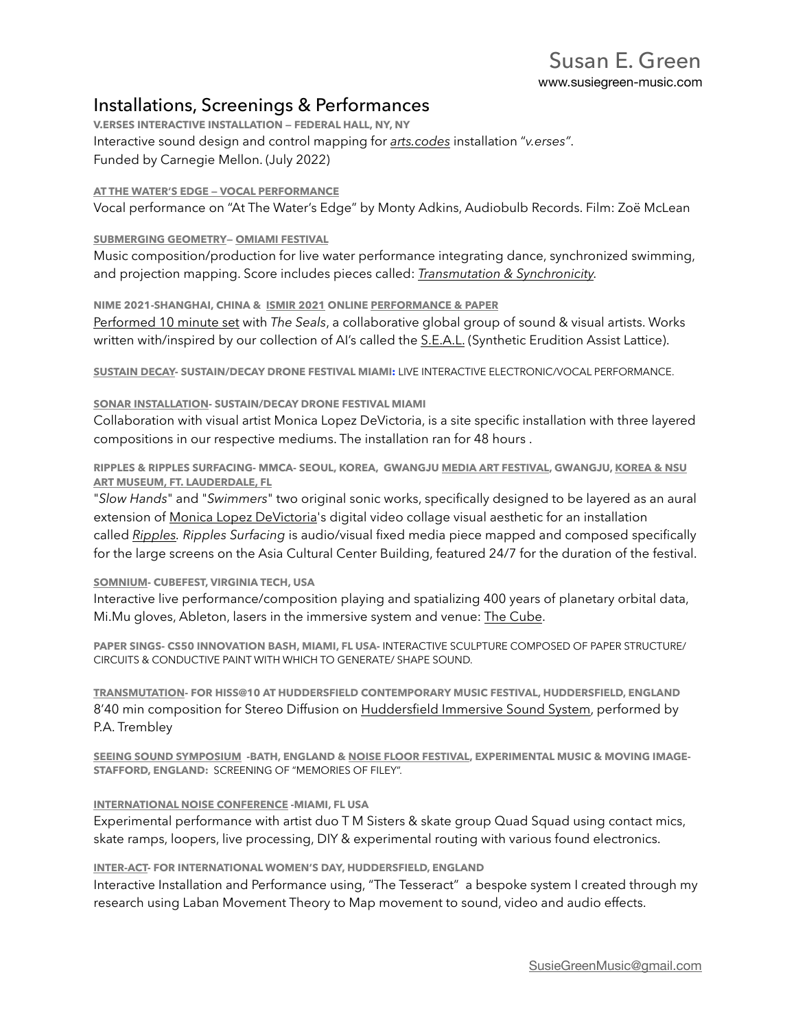## Installations, Screenings & Performances

**V.ERSES INTERACTIVE INSTALLATION — FEDERAL HALL, NY, NY**  Interactive sound design and control mapping for *[arts.codes](http://arts.codes/src/about.html)* installation "*v.erses"*. Funded by Carnegie Mellon. (July 2022)

### **[AT THE WATER'S EDGE — VOCAL PERFORMANCE](https://youtu.be/Dxg1H3qBplA)**

Vocal performance on "At The Water's Edge" by Monty Adkins, Audiobulb Records. Film: Zoë McLean

### **[SUBMERGING GEOMETRY](https://www.susiegreen-music.com/single-post/music-for-submerging-geometry)— [OMIAMI FESTIVAL](https://www.omiami.org/events/submerginggeometryshow)**

Music composition/production for live water performance integrating dance, synchronized swimming, and projection mapping. Score includes pieces called: *[Transmutation & Synchronicity.](https://www.susiegreen-music.com/music)*

## **NIME 2021-SHANGHAI, CHINA & [ISMIR 2021](https://youtu.be/LG5wjoozhug?t=1460) ONLINE [PERFORMANCE & PAPER](https://ismir2021.ismir.net/music/#the-seals-networked-ensemble-of-pre-recorded-live-performance-with-creative-ai-assisted-visuals)**

[Performed 10 minute set](https://youtu.be/PCHX5N6Ojjc) with *The Seals*, a collaborative global group of sound & visual artists. Works written with/inspired by our collection of AI's called the **S.E.A.L.** (Synthetic Erudition Assist Lattice).

**[SUSTAIN DECAY-](https://www.susiegreen-music.com/post/dronefestmiami2019) SUSTAIN/DECAY DRONE FESTIVAL MIAMI:** LIVE INTERACTIVE ELECTRONIC/VOCAL PERFORMANCE.

#### **[SONAR INSTALLATION-](https://www.susiegreen-music.com/post/2018/02/07/rock-music-sound-sculpture) SUSTAIN/DECAY DRONE FESTIVAL MIAMI**

Collaboration with visual artist Monica Lopez DeVictoria, is a site specific installation with three layered compositions in our respective mediums. The installation ran for 48 hours .

**RIPPLES & RIPPLES SURFACING- MMCA- SEOUL, KOREA, GWANGJU [MEDIA ART FESTIVAL,](https://video.wixstatic.com/video/2519bc_b50fcdf4c2ee4b33968ae1c91ffd2e50/480p/mp4/file.mp4) GWANGJU, [KOREA & NSU](https://www.susiegreen-music.com/single-post/ripples-surfacing-at-nsu-art-museum)  [ART MUSEUM, FT. LAUDERDALE, FL](https://www.susiegreen-music.com/single-post/ripples-surfacing-at-nsu-art-museum)**

"*Slow Hands*" and "*Swimmers*" two original sonic works, specifically designed to be layered as an aural extension of Monica Lopez DeVictoria's digital video collage visual aesthetic for an installation called *Ripples. Ripples Surfacing* is audio/visual fixed media piece mapped and composed specifically for the large screens on the Asia Cultural Center Building, featured 24/7 for the duration of the festival.

## **[SOMNIUM-](https://www.susiegreen-music.com/post/cubefest2019) CUBEFEST, VIRGINIA TECH, USA**

Interactive live performance/composition playing and spatializing 400 years of planetary orbital data, Mi.Mu gloves, Ableton, lasers in the immersive system and venue: [The Cube.](https://icat.vt.edu/studios.html)

**PAPER SINGS- CS50 INNOVATION BASH, MIAMI, FL USA-** INTERACTIVE SCULPTURE COMPOSED OF PAPER STRUCTURE/ CIRCUITS & CONDUCTIVE PAINT WITH WHICH TO GENERATE/ SHAPE SOUND.

**[TRANSMUTATION](https://hcmf.co.uk/event/hiss10-2/)- FOR HISS@10 AT HUDDERSFIELD CONTEMPORARY MUSIC FESTIVAL, HUDDERSFIELD, ENGLAND**  8'40 min composition for Stereo Diffusion on [Huddersfield Immersive Sound System](http://www.thehiss.org), performed by P.A. Trembley

**[SEEING SOUND SYMPOSIUM](http://www.seeingsound.co.uk/2018-screenings/) -BATH, ENGLAND & [NOISE FLOOR FESTIVAL](https://noisefloor.org.uk/2018-concert-screening-schedule/), EXPERIMENTAL MUSIC & MOVING IMAGE-STAFFORD, ENGLAND:** SCREENING OF "MEMORIES OF FILEY".

#### **[INTERNATIONAL NOISE CONFERENCE](https://youtu.be/ZFRSal-TbDk) -MIAMI, FL USA**

Experimental performance with artist duo T M Sisters & skate group Quad Squad using contact mics, skate ramps, loopers, live processing, DIY & experimental routing with various found electronics.

#### **[INTER-ACT-](https://youtu.be/dVIWNhV1JPg) FOR INTERNATIONAL WOMEN'S DAY, HUDDERSFIELD, ENGLAND**

Interactive Installation and Performance using, "The Tesseract" a bespoke system I created through my research using Laban Movement Theory to Map movement to sound, video and audio effects.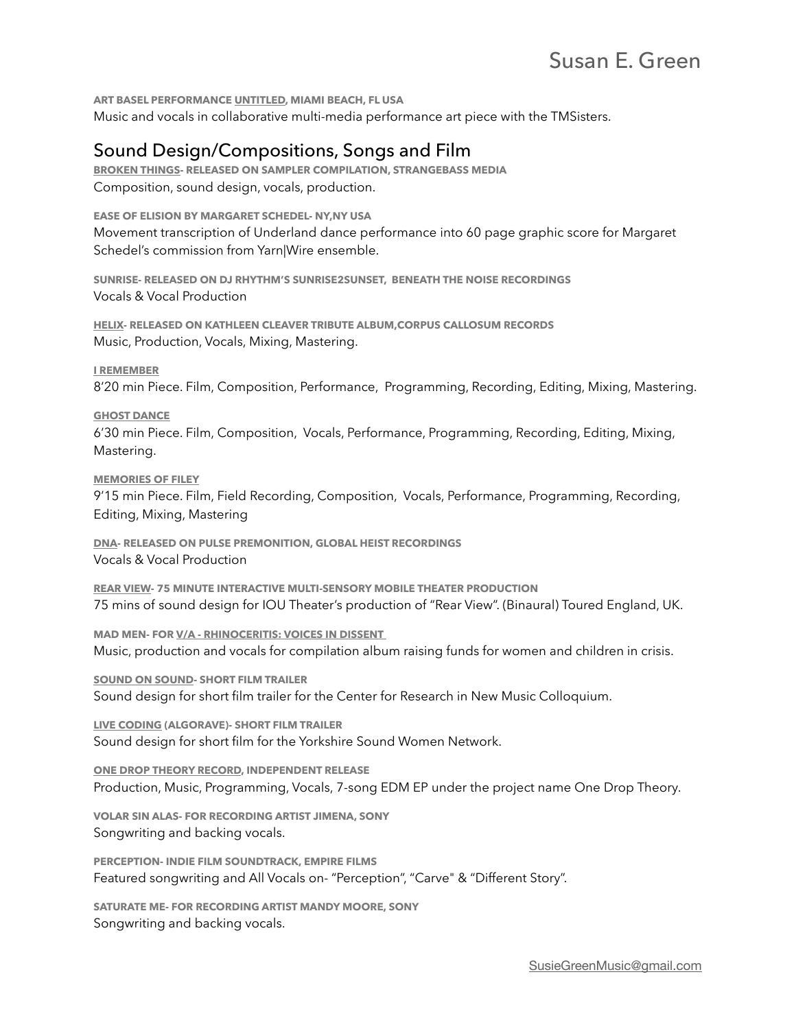**ART BASEL PERFORMANCE [UNTITLED,](http://whatsupmiami.blogspot.com/2013/11/opening-ceremony-blessing-tm-sisters-at.html) MIAMI BEACH, FL USA**  Music and vocals in collaborative multi-media performance art piece with the TMSisters.

# Sound Design/Compositions, Songs and Film

**[BROKEN THINGS-](https://www.susiegreen-music.com/post/broken-things) RELEASED ON SAMPLER COMPILATION, STRANGEBASS MEDIA**  Composition, sound design, vocals, production.

**EASE OF ELISION BY MARGARET SCHEDEL- NY,NY USA**  Movement transcription of Underland dance performance into 60 page graphic score for Margaret Schedel's commission from Yarn|Wire ensemble.

**SUNRISE- RELEASED ON DJ RHYTHM'S SUNRISE2SUNSET, BENEATH THE NOISE RECORDINGS**  Vocals & Vocal Production

**[HELIX](https://soundcloud.com/susiegreen/helix)- RELEASED ON KATHLEEN CLEAVER TRIBUTE ALBUM,CORPUS CALLOSUM RECORDS**  Music, Production, Vocals, Mixing, Mastering.

**[I REMEMBER](https://youtu.be/xP1g8p20Z1g)**

8'20 min Piece. Film, Composition, Performance, Programming, Recording, Editing, Mixing, Mastering.

#### **[GHOST DANCE](https://youtu.be/2dNY5-yEy-A)**

6'30 min Piece. Film, Composition, Vocals, Performance, Programming, Recording, Editing, Mixing, Mastering.

**[MEMORIES OF FILEY](https://youtu.be/UH_wrFNQfic)**

9'15 min Piece. Film, Field Recording, Composition, Vocals, Performance, Programming, Recording, Editing, Mixing, Mastering

**[DNA](https://audibleaddixion.com/global-heist-recordings-puts-together-a-versatile-collection-of-dance-music-with-pulse-premonition-2018/)- RELEASED ON PULSE PREMONITION, GLOBAL HEIST RECORDINGS**  Vocals & Vocal Production

**[REAR VIEW](http://www.ioutheatre.org/projects/rear-view-484)- 75 MINUTE INTERACTIVE MULTI-SENSORY MOBILE THEATER PRODUCTION**  75 mins of sound design for IOU Theater's production of "Rear View". (Binaural) Toured England, UK.

**MAD MEN- FOR [V/A - RHINOCERITIS: VOICES IN DISSENT](https://corpuscallosumdistro.bandcamp.com/album/v-a-rhinoceritis-voices-in-dissent)**  Music, production and vocals for compilation album raising funds for women and children in crisis.

**[SOUND ON SOUND](https://www.youtube.com/watch?v=m2XVJwnxwKA)- SHORT FILM TRAILER**  Sound design for short film trailer for the Center for Research in New Music Colloquium.

**[LIVE CODING](https://www.youtube.com/watch?v=RpzEzUCgVoQ&t=1s) (ALGORAVE)- SHORT FILM TRAILER**  Sound design for short film for the Yorkshire Sound Women Network.

**[ONE DROP THEORY RECORD,](https://soundcloud.com/one-drop-theory) INDEPENDENT RELEASE**  Production, Music, Programming, Vocals, 7-song EDM EP under the project name One Drop Theory.

**VOLAR SIN ALAS- FOR RECORDING ARTIST JIMENA, SONY**  Songwriting and backing vocals.

**PERCEPTION- INDIE FILM SOUNDTRACK, EMPIRE FILMS**  Featured songwriting and All Vocals on- "Perception", "Carve" & "Different Story".

**SATURATE ME- FOR RECORDING ARTIST MANDY MOORE, SONY**  Songwriting and backing vocals.